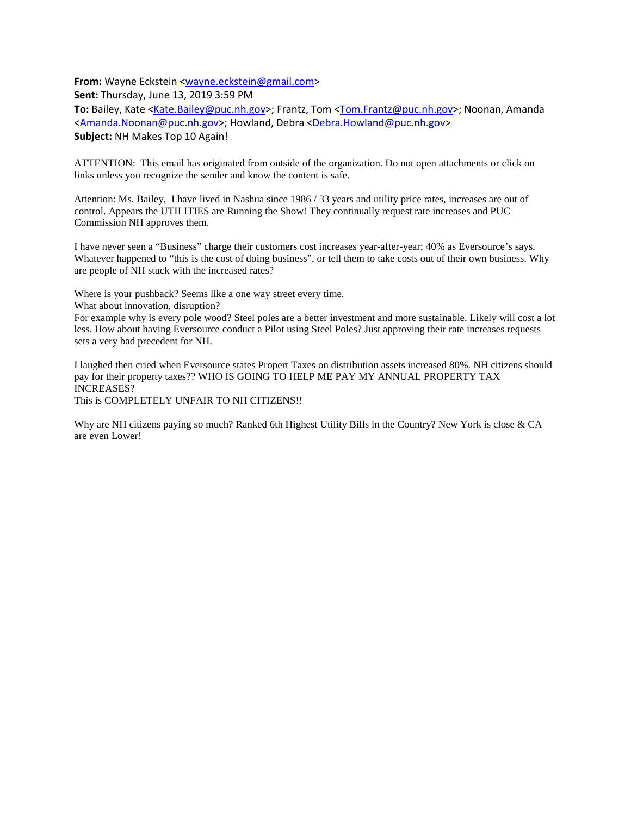**From:** Wayne Eckstein [<wayne.eckstein@gmail.com>](mailto:wayne.eckstein@gmail.com)

**Sent:** Thursday, June 13, 2019 3:59 PM

**To:** Bailey, Kate [<Kate.Bailey@puc.nh.gov>](mailto:Kate.Bailey@puc.nh.gov); Frantz, Tom [<Tom.Frantz@puc.nh.gov>](mailto:Tom.Frantz@puc.nh.gov); Noonan, Amanda [<Amanda.Noonan@puc.nh.gov>](mailto:Amanda.Noonan@puc.nh.gov); Howland, Debra [<Debra.Howland@puc.nh.gov>](mailto:Debra.Howland@puc.nh.gov) **Subject:** NH Makes Top 10 Again!

ATTENTION: This email has originated from outside of the organization. Do not open attachments or click on links unless you recognize the sender and know the content is safe.

Attention: Ms. Bailey, I have lived in Nashua since 1986 / 33 years and utility price rates, increases are out of control. Appears the UTILITIES are Running the Show! They continually request rate increases and PUC Commission NH approves them.

I have never seen a "Business" charge their customers cost increases year-after-year; 40% as Eversource's says. Whatever happened to "this is the cost of doing business", or tell them to take costs out of their own business. Why are people of NH stuck with the increased rates?

Where is your pushback? Seems like a one way street every time.

What about innovation, disruption?

For example why is every pole wood? Steel poles are a better investment and more sustainable. Likely will cost a lot less. How about having Eversource conduct a Pilot using Steel Poles? Just approving their rate increases requests sets a very bad precedent for NH.

I laughed then cried when Eversource states Propert Taxes on distribution assets increased 80%. NH citizens should pay for their property taxes?? WHO IS GOING TO HELP ME PAY MY ANNUAL PROPERTY TAX INCREASES?

This is COMPLETELY UNFAIR TO NH CITIZENS!!

Why are NH citizens paying so much? Ranked 6th Highest Utility Bills in the Country? New York is close & CA are even Lower!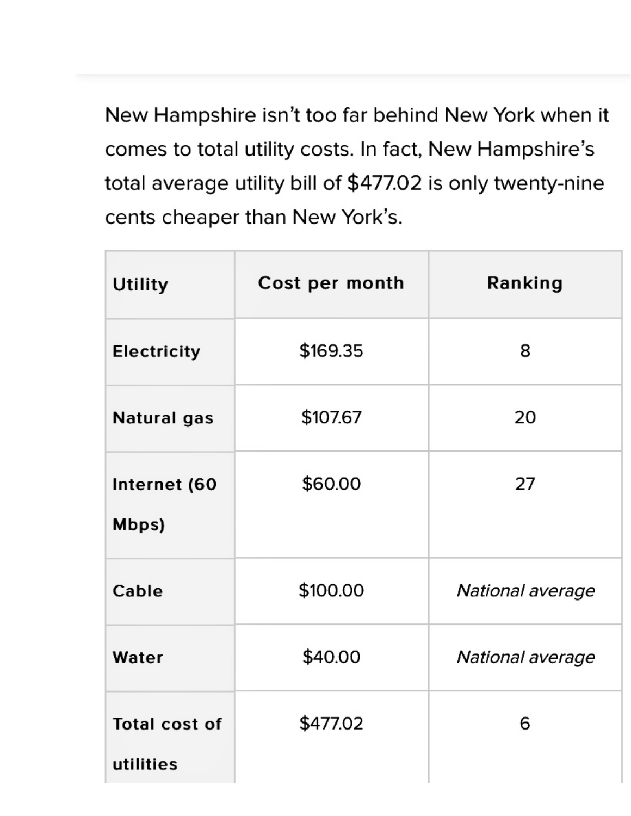New Hampshire isn't too far behind New York when it comes to total utility costs. In fact, New Hampshire's total average utility bill of \$477.02 is only twenty-nine cents cheaper than New York's.

| <b>Utility</b>                    | Cost per month | Ranking          |  |  |
|-----------------------------------|----------------|------------------|--|--|
| <b>Electricity</b>                | \$169.35       | 8                |  |  |
| Natural gas                       | \$107.67       | 20               |  |  |
| Internet (60<br>Mbps)             | \$60.00        | 27               |  |  |
| Cable                             | \$100.00       | National average |  |  |
| Water                             | \$40.00        | National average |  |  |
| <b>Total cost of</b><br>utilities | \$477.02       | 6                |  |  |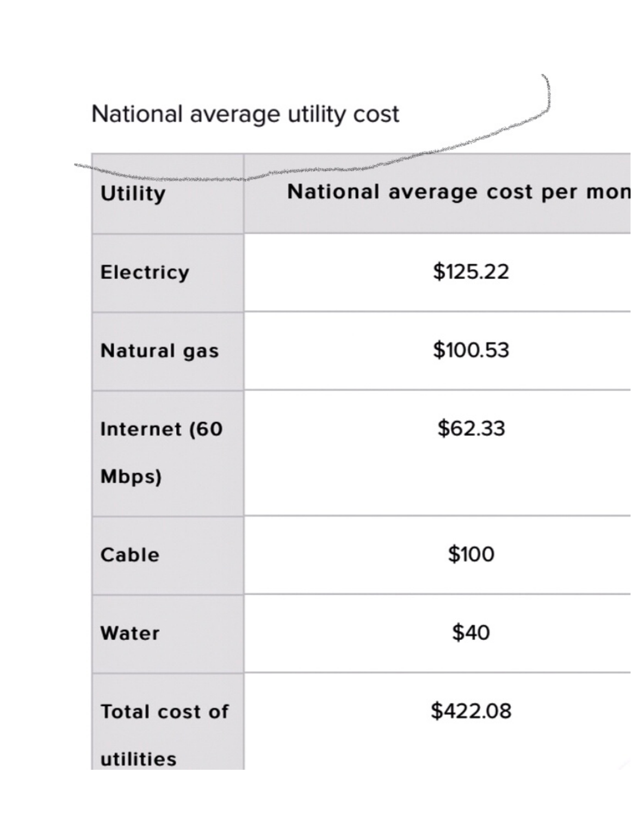## National average utility cost

|                                   | Propagang Pale Antonio Control and Line Concertance                                     |  |  |  |
|-----------------------------------|-----------------------------------------------------------------------------------------|--|--|--|
| <b>Utility</b>                    | ************<br><b>Investment Students</b><br>National average cost per mor<br>\$125.22 |  |  |  |
| <b>Electricy</b>                  |                                                                                         |  |  |  |
| <b>Natural gas</b>                | \$100.53                                                                                |  |  |  |
| Internet (60<br>Mbps)             | \$62.33                                                                                 |  |  |  |
| Cable                             | \$100                                                                                   |  |  |  |
| Water                             | \$40                                                                                    |  |  |  |
| <b>Total cost of</b><br>utilities | \$422.08                                                                                |  |  |  |

大学 r dill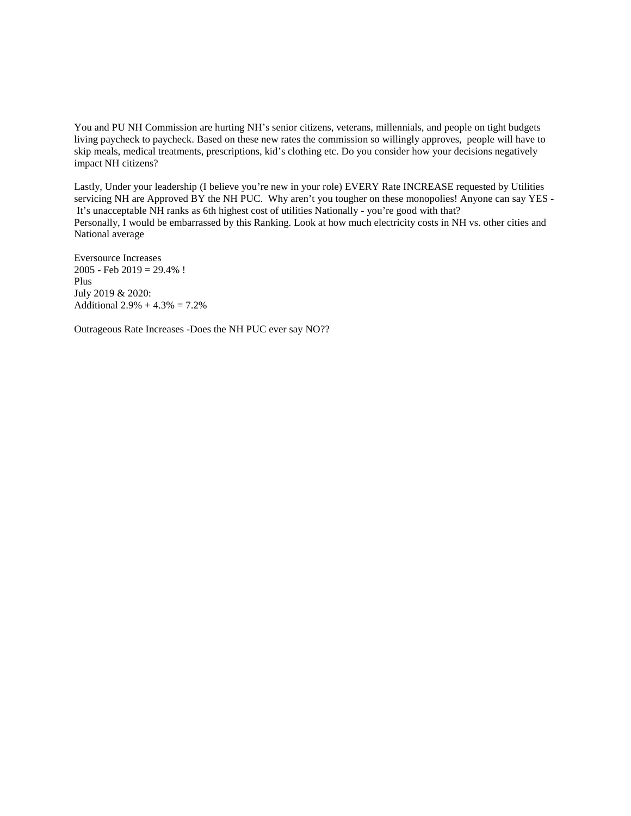You and PU NH Commission are hurting NH's senior citizens, veterans, millennials, and people on tight budgets living paycheck to paycheck. Based on these new rates the commission so willingly approves, people will have to skip meals, medical treatments, prescriptions, kid's clothing etc. Do you consider how your decisions negatively impact NH citizens?

Lastly, Under your leadership (I believe you're new in your role) EVERY Rate INCREASE requested by Utilities servicing NH are Approved BY the NH PUC. Why aren't you tougher on these monopolies! Anyone can say YES -It's unacceptable NH ranks as 6th highest cost of utilities Nationally - you're good with that? Personally, I would be embarrassed by this Ranking. Look at how much electricity costs in NH vs. other cities and National average

Eversource Increases  $2005$  - Feb  $2019 = 29.4\%$ ! Plus July 2019 & 2020: Additional  $2.9\% + 4.3\% = 7.2\%$ 

Outrageous Rate Increases -Does the NH PUC ever say NO??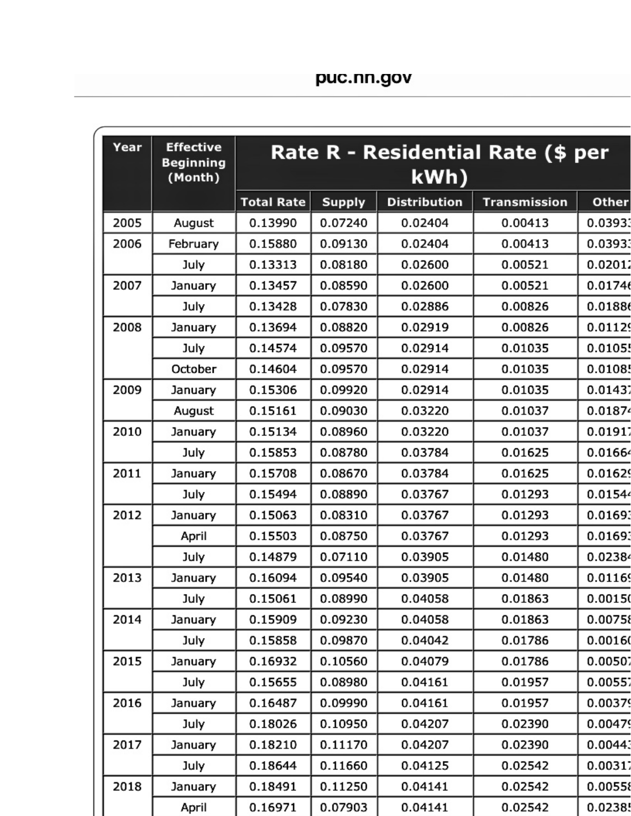| Year | <b>Effective</b><br><b>Beginning</b><br>(Month) | Rate R - Residential Rate (\$ per<br>kWh) |               |                     |                     |         |  |
|------|-------------------------------------------------|-------------------------------------------|---------------|---------------------|---------------------|---------|--|
|      |                                                 | <b>Total Rate</b>                         | <b>Supply</b> | <b>Distribution</b> | <b>Transmission</b> | Other   |  |
| 2005 | August                                          | 0.13990                                   | 0.07240       | 0.02404             | 0.00413             | 0.03933 |  |
| 2006 | February                                        | 0.15880                                   | 0.09130       | 0.02404             | 0.00413             | 0.03933 |  |
|      | July                                            | 0.13313                                   | 0.08180       | 0.02600             | 0.00521             | 0.02012 |  |
| 2007 | January                                         | 0.13457                                   | 0.08590       | 0.02600             | 0.00521             | 0.01746 |  |
|      | July                                            | 0.13428                                   | 0.07830       | 0.02886             | 0.00826             | 0.01886 |  |
| 2008 | January                                         | 0.13694                                   | 0.08820       | 0.02919             | 0.00826             | 0.01129 |  |
|      | July                                            | 0.14574                                   | 0.09570       | 0.02914             | 0.01035             | 0.01055 |  |
|      | October                                         | 0.14604                                   | 0.09570       | 0.02914             | 0.01035             | 0.01085 |  |
| 2009 | January                                         | 0.15306                                   | 0.09920       | 0.02914             | 0.01035             | 0.01437 |  |
|      | August                                          | 0.15161                                   | 0.09030       | 0.03220             | 0.01037             | 0.01874 |  |
| 2010 | January                                         | 0.15134                                   | 0.08960       | 0.03220             | 0.01037             | 0.01917 |  |
|      | July                                            | 0.15853                                   | 0.08780       | 0.03784             | 0.01625             | 0.01664 |  |
| 2011 | January                                         | 0.15708                                   | 0.08670       | 0.03784             | 0.01625             | 0.01629 |  |
|      | July                                            | 0.15494                                   | 0.08890       | 0.03767             | 0.01293             | 0.01544 |  |
| 2012 | January                                         | 0.15063                                   | 0.08310       | 0.03767             | 0.01293             | 0.01693 |  |
|      | April                                           | 0.15503                                   | 0.08750       | 0.03767             | 0.01293             | 0.01693 |  |
|      | July                                            | 0.14879                                   | 0.07110       | 0.03905             | 0.01480             | 0.02384 |  |
| 2013 | January                                         | 0.16094                                   | 0.09540       | 0.03905             | 0.01480             | 0.01169 |  |
|      | July                                            | 0.15061                                   | 0.08990       | 0.04058             | 0.01863             | 0.00150 |  |
| 2014 | January                                         | 0.15909                                   | 0.09230       | 0.04058             | 0.01863             | 0.00758 |  |
|      | July                                            | 0.15858                                   | 0.09870       | 0.04042             | 0.01786             | 0.00160 |  |
| 2015 | January                                         | 0.16932                                   | 0.10560       | 0.04079             | 0.01786             | 0.00507 |  |
|      | July                                            | 0.15655                                   | 0.08980       | 0.04161             | 0.01957             | 0.00557 |  |
| 2016 | January                                         | 0.16487                                   | 0.09990       | 0.04161             | 0.01957             | 0.00379 |  |
|      | July                                            | 0.18026                                   | 0.10950       | 0.04207             | 0.02390             | 0.00479 |  |
| 2017 | January                                         | 0.18210                                   | 0.11170       | 0.04207             | 0.02390             | 0.00443 |  |
|      | July                                            | 0.18644                                   | 0.11660       | 0.04125             | 0.02542             | 0.00317 |  |
| 2018 | January                                         | 0.18491                                   | 0.11250       | 0.04141             | 0.02542             | 0.00558 |  |
|      | April                                           | 0.16971                                   | 0.07903       | 0.04141             | 0.02542             | 0.02385 |  |